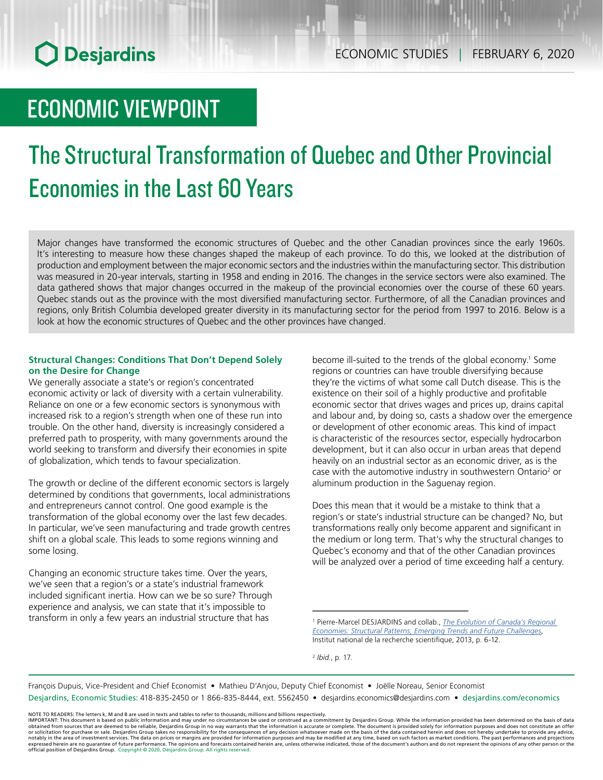## ECONOMIC VIEWPOINT

# The Structural Transformation of Quebec and Other Provincial Economies in the Last 60 Years

Major changes have transformed the economic structures of Quebec and the other Canadian provinces since the early 1960s. It's interesting to measure how these changes shaped the makeup of each province. To do this, we looked at the distribution of production and employment between the major economic sectors and the industries within the manufacturing sector. This distribution was measured in 20-year intervals, starting in 1958 and ending in 2016. The changes in the service sectors were also examined. The data gathered shows that major changes occurred in the makeup of the provincial economies over the course of these 60 years. Quebec stands out as the province with the most diversified manufacturing sector. Furthermore, of all the Canadian provinces and regions, only British Columbia developed greater diversity in its manufacturing sector for the period from 1997 to 2016. Below is a look at how the economic structures of Quebec and the other provinces have changed.

## **Structural Changes: Conditions That Don't Depend Solely on the Desire for Change**

We generally associate a state's or region's concentrated economic activity or lack of diversity with a certain vulnerability. Reliance on one or a few economic sectors is synonymous with increased risk to a region's strength when one of these run into trouble. On the other hand, diversity is increasingly considered a preferred path to prosperity, with many governments around the world seeking to transform and diversify their economies in spite of globalization, which tends to favour specialization.

The growth or decline of the different economic sectors is largely determined by conditions that governments, local administrations and entrepreneurs cannot control. One good example is the transformation of the global economy over the last few decades. In particular, we've seen manufacturing and trade growth centres shift on a global scale. This leads to some regions winning and some losing.

Changing an economic structure takes time. Over the years, we've seen that a region's or a state's industrial framework included significant inertia. How can we be so sure? Through experience and analysis, we can state that it's impossible to transform in only a few years an industrial structure that has

become ill-suited to the trends of the global economy.<sup>1</sup> Some regions or countries can have trouble diversifying because they're the victims of what some call Dutch disease. This is the existence on their soil of a highly productive and profitable economic sector that drives wages and prices up, drains capital and labour and, by doing so, casts a shadow over the emergence or development of other economic areas. This kind of impact is characteristic of the resources sector, especially hydrocarbon development, but it can also occur in urban areas that depend heavily on an industrial sector as an economic driver, as is the case with the automotive industry in southwestern Ontario<sup>2</sup> or aluminum production in the Saguenay region.

Does this mean that it would be a mistake to think that a region's or state's industrial structure can be changed? No, but transformations really only become apparent and significant in the medium or long term. That's why the structural changes to Quebec's economy and that of the other Canadian provinces will be analyzed over a period of time exceeding half a century.

<sup>2</sup> *Ibid.*, p. 17.

François Dupuis, Vice-President and Chief Economist • Mathieu D'Anjou, Deputy Chief Economist • Joëlle Noreau, Senior Economist

Desjardins, Economic Studies: 418-835-2450 or 1 866-835-8444, ext. 5562450 • desjardins.economics@desjardins.com • desjardins.com/economics

<sup>1</sup> Pierre-Marcel DESJARDINS and collab., *[The Evolution of Canada's Regional](http://espace.inrs.ca/4958/1/DesjardinsPoleseShearmurENG.pdf)  [Economies: Structural Patterns, Emerging Trends and Future Challenges](http://espace.inrs.ca/4958/1/DesjardinsPoleseShearmurENG.pdf)*, Institut national de la recherche scientifique, 2013, p. 6-12.

NOTE TO READERS: The letters k, M and B are used in texts and tables to refer to thousands, millions and billions respectively.<br>IMPORTANT: This document is based on public information and may under no circumstances be used obtained from sources that are deemed to be reliable, Desjardins Group in no way warrants that the information is accurate or complete. The document is provided solely for information purposes and does not constitute an of official position of Desjardins Group. Copyright © 2020, Desjardins Group. All rights reserved.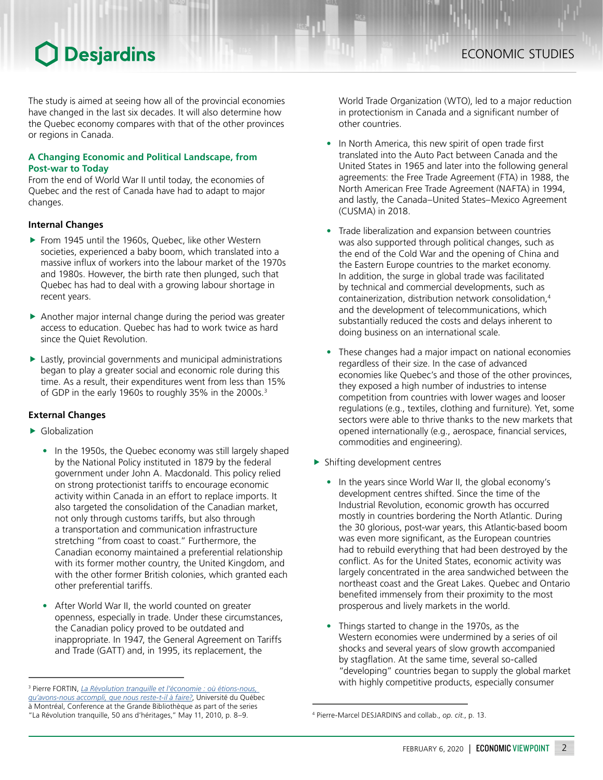The study is aimed at seeing how all of the provincial economies have changed in the last six decades. It will also determine how the Quebec economy compares with that of the other provinces or regions in Canada.

## **A Changing Economic and Political Landscape, from Post‑war to Today**

From the end of World War II until today, the economies of Quebec and the rest of Canada have had to adapt to major changes.

## **Internal Changes**

- From 1945 until the 1960s, Quebec, like other Western societies, experienced a baby boom, which translated into a massive influx of workers into the labour market of the 1970s and 1980s. However, the birth rate then plunged, such that Quebec has had to deal with a growing labour shortage in recent years.
- $\blacktriangleright$  Another major internal change during the period was greater access to education. Quebec has had to work twice as hard since the Quiet Revolution.
- $\blacktriangleright$  Lastly, provincial governments and municipal administrations began to play a greater social and economic role during this time. As a result, their expenditures went from less than 15% of GDP in the early 1960s to roughly 35% in the 2000s.<sup>3</sup>

## **External Changes**

- $\blacktriangleright$  Globalization
	- In the 1950s, the Quebec economy was still largely shaped by the National Policy instituted in 1879 by the federal government under John A. Macdonald. This policy relied on strong protectionist tariffs to encourage economic activity within Canada in an effort to replace imports. It also targeted the consolidation of the Canadian market, not only through customs tariffs, but also through a transportation and communication infrastructure stretching "from coast to coast." Furthermore, the Canadian economy maintained a preferential relationship with its former mother country, the United Kingdom, and with the other former British colonies, which granted each other preferential tariffs.
	- After World War II, the world counted on greater openness, especially in trade. Under these circumstances, the Canadian policy proved to be outdated and inappropriate. In 1947, the General Agreement on Tariffs and Trade (GATT) and, in 1995, its replacement, the

World Trade Organization (WTO), led to a major reduction in protectionism in Canada and a significant number of other countries.

- In North America, this new spirit of open trade first translated into the Auto Pact between Canada and the United States in 1965 and later into the following general agreements: the Free Trade Agreement (FTA) in 1988, the North American Free Trade Agreement (NAFTA) in 1994, and lastly, the Canada–United States–Mexico Agreement (CUSMA) in 2018.
- Trade liberalization and expansion between countries was also supported through political changes, such as the end of the Cold War and the opening of China and the Eastern Europe countries to the market economy. In addition, the surge in global trade was facilitated by technical and commercial developments, such as containerization, distribution network consolidation,4 and the development of telecommunications, which substantially reduced the costs and delays inherent to doing business on an international scale.
- These changes had a major impact on national economies regardless of their size. In the case of advanced economies like Quebec's and those of the other provinces, they exposed a high number of industries to intense competition from countries with lower wages and looser regulations (e.g., textiles, clothing and furniture). Yet, some sectors were able to thrive thanks to the new markets that opened internationally (e.g., aerospace, financial services, commodities and engineering).
- $\blacktriangleright$  Shifting development centres
	- In the years since World War II, the global economy's development centres shifted. Since the time of the Industrial Revolution, economic growth has occurred mostly in countries bordering the North Atlantic. During the 30 glorious, post-war years, this Atlantic-based boom was even more significant, as the European countries had to rebuild everything that had been destroyed by the conflict. As for the United States, economic activity was largely concentrated in the area sandwiched between the northeast coast and the Great Lakes. Quebec and Ontario benefited immensely from their proximity to the most prosperous and lively markets in the world.
	- Things started to change in the 1970s, as the Western economies were undermined by a series of oil shocks and several years of slow growth accompanied by stagflation. At the same time, several so-called "developing" countries began to supply the global market with highly competitive products, especially consumer

Pierre FORTIN, *[La Révolution tranquille et l'économie : où étions-nous,](http://economistesquebecois.com/files/documents/at/35/txt-membres-du-cpp-pierre-fortin-11-mai-2010.pdf)  [qu'avons-nous accompli, que nous reste-t-il à faire?](http://economistesquebecois.com/files/documents/at/35/txt-membres-du-cpp-pierre-fortin-11-mai-2010.pdf)*, Université du Québec à Montréal, Conference at the Grande Bibliothèque as part of the series "La Révolution tranquille, 50 ans d'héritages," May 11, 2010, p. 8–9. <sup>4</sup> Pierre-Marcel DESJARDINS and collab., *op. cit.*, p. 13.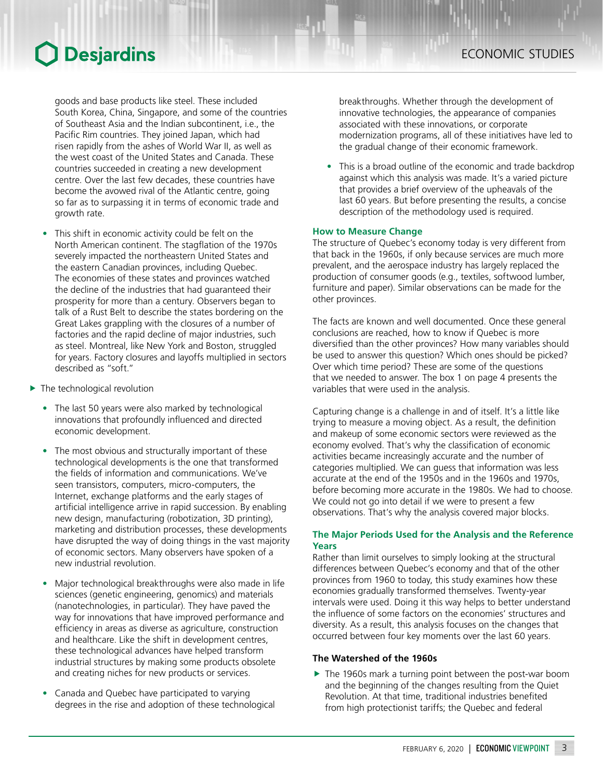goods and base products like steel. These included South Korea, China, Singapore, and some of the countries of Southeast Asia and the Indian subcontinent, i.e., the Pacific Rim countries. They joined Japan, which had risen rapidly from the ashes of World War II, as well as the west coast of the United States and Canada. These countries succeeded in creating a new development centre. Over the last few decades, these countries have become the avowed rival of the Atlantic centre, going so far as to surpassing it in terms of economic trade and growth rate.

- This shift in economic activity could be felt on the North American continent. The stagflation of the 1970s severely impacted the northeastern United States and the eastern Canadian provinces, including Quebec. The economies of these states and provinces watched the decline of the industries that had guaranteed their prosperity for more than a century. Observers began to talk of a Rust Belt to describe the states bordering on the Great Lakes grappling with the closures of a number of factories and the rapid decline of major industries, such as steel. Montreal, like New York and Boston, struggled for years. Factory closures and layoffs multiplied in sectors described as "soft."
- $\blacktriangleright$  The technological revolution
	- The last 50 years were also marked by technological innovations that profoundly influenced and directed economic development.
	- The most obvious and structurally important of these technological developments is the one that transformed the fields of information and communications. We've seen transistors, computers, micro-computers, the Internet, exchange platforms and the early stages of artificial intelligence arrive in rapid succession. By enabling new design, manufacturing (robotization, 3D printing), marketing and distribution processes, these developments have disrupted the way of doing things in the vast majority of economic sectors. Many observers have spoken of a new industrial revolution.
	- Major technological breakthroughs were also made in life sciences (genetic engineering, genomics) and materials (nanotechnologies, in particular). They have paved the way for innovations that have improved performance and efficiency in areas as diverse as agriculture, construction and healthcare. Like the shift in development centres, these technological advances have helped transform industrial structures by making some products obsolete and creating niches for new products or services.
	- Canada and Quebec have participated to varying degrees in the rise and adoption of these technological

breakthroughs. Whether through the development of innovative technologies, the appearance of companies associated with these innovations, or corporate modernization programs, all of these initiatives have led to the gradual change of their economic framework.

This is a broad outline of the economic and trade backdrop against which this analysis was made. It's a varied picture that provides a brief overview of the upheavals of the last 60 years. But before presenting the results, a concise description of the methodology used is required.

### **How to Measure Change**

The structure of Quebec's economy today is very different from that back in the 1960s, if only because services are much more prevalent, and the aerospace industry has largely replaced the production of consumer goods (e.g., textiles, softwood lumber, furniture and paper). Similar observations can be made for the other provinces.

The facts are known and well documented. Once these general conclusions are reached, how to know if Quebec is more diversified than the other provinces? How many variables should be used to answer this question? Which ones should be picked? Over which time period? These are some of the questions that we needed to answer. The box 1 on page 4 presents the variables that were used in the analysis.

Capturing change is a challenge in and of itself. It's a little like trying to measure a moving object. As a result, the definition and makeup of some economic sectors were reviewed as the economy evolved. That's why the classification of economic activities became increasingly accurate and the number of categories multiplied. We can guess that information was less accurate at the end of the 1950s and in the 1960s and 1970s, before becoming more accurate in the 1980s. We had to choose. We could not go into detail if we were to present a few observations. That's why the analysis covered major blocks.

## **The Major Periods Used for the Analysis and the Reference Years**

Rather than limit ourselves to simply looking at the structural differences between Quebec's economy and that of the other provinces from 1960 to today, this study examines how these economies gradually transformed themselves. Twenty-year intervals were used. Doing it this way helps to better understand the influence of some factors on the economies' structures and diversity. As a result, this analysis focuses on the changes that occurred between four key moments over the last 60 years.

## **The Watershed of the 1960s**

 $\blacktriangleright$  The 1960s mark a turning point between the post-war boom and the beginning of the changes resulting from the Quiet Revolution. At that time, traditional industries benefited from high protectionist tariffs; the Quebec and federal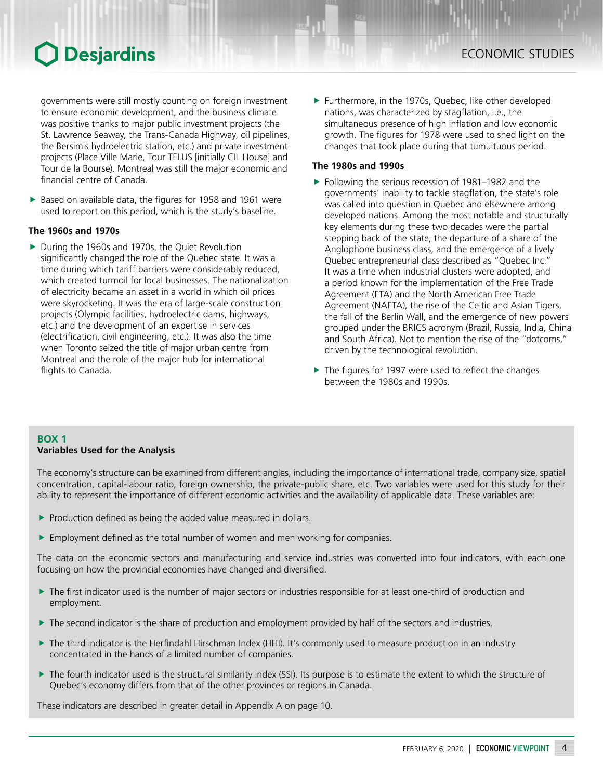governments were still mostly counting on foreign investment to ensure economic development, and the business climate was positive thanks to major public investment projects (the St. Lawrence Seaway, the Trans-Canada Highway, oil pipelines, the Bersimis hydroelectric station, etc.) and private investment projects (Place Ville Marie, Tour TELUS [initially CIL House] and Tour de la Bourse). Montreal was still the major economic and financial centre of Canada.

Based on available data, the figures for 1958 and 1961 were used to report on this period, which is the study's baseline.

### **The 1960s and 1970s**

▶ During the 1960s and 1970s, the Quiet Revolution significantly changed the role of the Quebec state. It was a time during which tariff barriers were considerably reduced, which created turmoil for local businesses. The nationalization of electricity became an asset in a world in which oil prices were skyrocketing. It was the era of large-scale construction projects (Olympic facilities, hydroelectric dams, highways, etc.) and the development of an expertise in services (electrification, civil engineering, etc.). It was also the time when Toronto seized the title of major urban centre from Montreal and the role of the major hub for international flights to Canada.

 $\blacktriangleright$  Furthermore, in the 1970s, Quebec, like other developed nations, was characterized by stagflation, i.e., the simultaneous presence of high inflation and low economic growth. The figures for 1978 were used to shed light on the changes that took place during that tumultuous period.

### **The 1980s and 1990s**

- $\blacktriangleright$  Following the serious recession of 1981–1982 and the governments' inability to tackle stagflation, the state's role was called into question in Quebec and elsewhere among developed nations. Among the most notable and structurally key elements during these two decades were the partial stepping back of the state, the departure of a share of the Anglophone business class, and the emergence of a lively Quebec entrepreneurial class described as "Quebec Inc." It was a time when industrial clusters were adopted, and a period known for the implementation of the Free Trade Agreement (FTA) and the North American Free Trade Agreement (NAFTA), the rise of the Celtic and Asian Tigers, the fall of the Berlin Wall, and the emergence of new powers grouped under the BRICS acronym (Brazil, Russia, India, China and South Africa). Not to mention the rise of the "dotcoms," driven by the technological revolution.
- $\blacktriangleright$  The figures for 1997 were used to reflect the changes between the 1980s and 1990s.

## **BOX 1**

## **Variables Used for the Analysis**

The economy's structure can be examined from different angles, including the importance of international trade, company size, spatial concentration, capital-labour ratio, foreign ownership, the private-public share, etc. Two variables were used for this study for their ability to represent the importance of different economic activities and the availability of applicable data. These variables are:

- $\blacktriangleright$  Production defined as being the added value measured in dollars.
- $\blacktriangleright$  Employment defined as the total number of women and men working for companies.

The data on the economic sectors and manufacturing and service industries was converted into four indicators, with each one focusing on how the provincial economies have changed and diversified.

- $\blacktriangleright$  The first indicator used is the number of major sectors or industries responsible for at least one-third of production and employment.
- $\blacktriangleright$  The second indicator is the share of production and employment provided by half of the sectors and industries.
- ▶ The third indicator is the Herfindahl Hirschman Index (HHI). It's commonly used to measure production in an industry concentrated in the hands of a limited number of companies.
- The fourth indicator used is the structural similarity index (SSI). Its purpose is to estimate the extent to which the structure of Quebec's economy differs from that of the other provinces or regions in Canada.

These indicators are described in greater detail in Appendix A on page 10.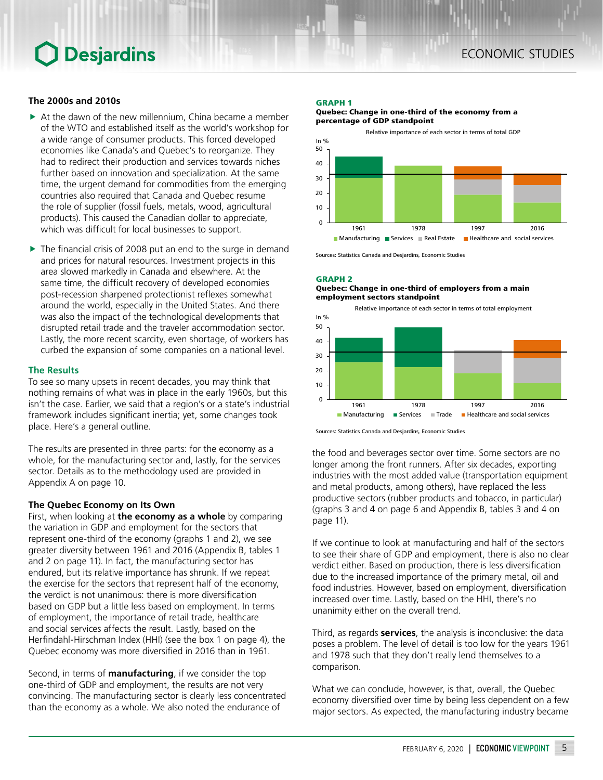## **The 2000s and 2010s**

- $\blacktriangleright$  At the dawn of the new millennium, China became a member of the WTO and established itself as the world's workshop for a wide range of consumer products. This forced developed economies like Canada's and Quebec's to reorganize. They had to redirect their production and services towards niches further based on innovation and specialization. At the same time, the urgent demand for commodities from the emerging countries also required that Canada and Quebec resume the role of supplier (fossil fuels, metals, wood, agricultural products). This caused the Canadian dollar to appreciate, which was difficult for local businesses to support.
- $\triangleright$  The financial crisis of 2008 put an end to the surge in demand and prices for natural resources. Investment projects in this area slowed markedly in Canada and elsewhere. At the same time, the difficult recovery of developed economies post‑recession sharpened protectionist reflexes somewhat around the world, especially in the United States. And there was also the impact of the technological developments that disrupted retail trade and the traveler accommodation sector. Lastly, the more recent scarcity, even shortage, of workers has curbed the expansion of some companies on a national level.

#### **The Results**

To see so many upsets in recent decades, you may think that nothing remains of what was in place in the early 1960s, but this isn't the case. Earlier, we said that a region's or a state's industrial framework includes significant inertia; yet, some changes took place. Here's a general outline.

The results are presented in three parts: for the economy as a whole, for the manufacturing sector and, lastly, for the services sector. Details as to the methodology used are provided in Appendix A on page 10.

## **The Quebec Economy on Its Own**

First, when looking at **the economy as a whole** by comparing the variation in GDP and employment for the sectors that represent one-third of the economy (graphs 1 and 2), we see greater diversity between 1961 and 2016 (Appendix B, tables 1 and 2 on page 11). In fact, the manufacturing sector has endured, but its relative importance has shrunk. If we repeat the exercise for the sectors that represent half of the economy, the verdict is not unanimous: there is more diversification based on GDP but a little less based on employment. In terms of employment, the importance of retail trade, healthcare and social services affects the result. Lastly, based on the Herfindahl-Hirschman Index (HHI) (see the box 1 on page 4), the Quebec economy was more diversified in 2016 than in 1961.

Second, in terms of **manufacturing**, if we consider the top one-third of GDP and employment, the results are not very convincing. The manufacturing sector is clearly less concentrated than the economy as a whole. We also noted the endurance of

#### GRAPH 1

Quebec: Change in one-third of the economy from a percentage of GDP standpoint



Sources: Statistics Canada and Desjardins, Economic Studies

#### GRAPH 2

#### Quebec: Change in one-third of employers from a main employment sectors standpoint



Sources: Statistics Canada and Desjardins, Economic Studies

the food and beverages sector over time. Some sectors are no longer among the front runners. After six decades, exporting industries with the most added value (transportation equipment and metal products, among others), have replaced the less productive sectors (rubber products and tobacco, in particular) (graphs 3 and 4 on page 6 and Appendix B, tables 3 and 4 on page 11).

If we continue to look at manufacturing and half of the sectors to see their share of GDP and employment, there is also no clear verdict either. Based on production, there is less diversification due to the increased importance of the primary metal, oil and food industries. However, based on employment, diversification increased over time. Lastly, based on the HHI, there's no unanimity either on the overall trend.

Third, as regards **services**, the analysis is inconclusive: the data poses a problem. The level of detail is too low for the years 1961 and 1978 such that they don't really lend themselves to a comparison.

What we can conclude, however, is that, overall, the Quebec economy diversified over time by being less dependent on a few major sectors. As expected, the manufacturing industry became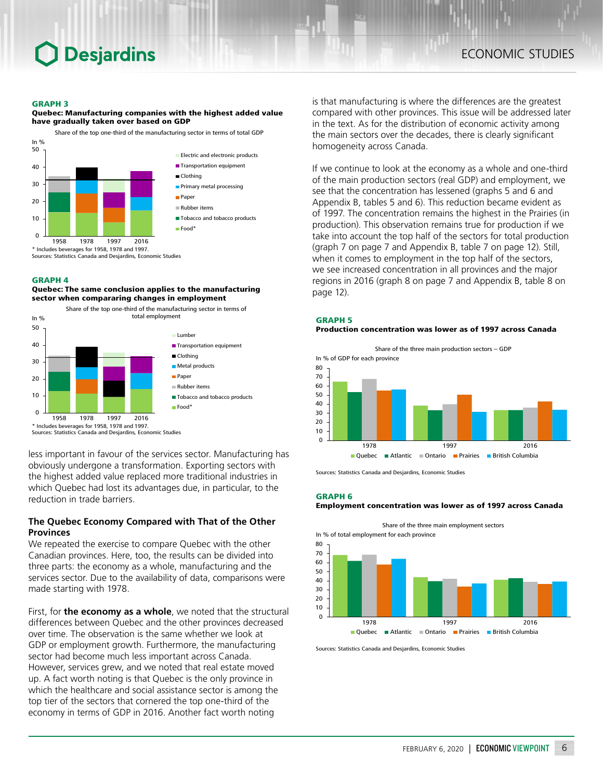#### GRAPH 3

Quebec: Manufacturing companies with the highest added value have gradually taken over based on GDP



Sources: Statistics Canada and Desjardins, Economic Studies

#### GRAPH 4

#### Quebec: The same conclusion applies to the manufacturing sector when compararing changes in employment



less important in favour of the services sector. Manufacturing has obviously undergone a transformation. Exporting sectors with the highest added value replaced more traditional industries in which Quebec had lost its advantages due, in particular, to the reduction in trade barriers.

## **The Quebec Economy Compared with That of the Other Provinces**

We repeated the exercise to compare Quebec with the other Canadian provinces. Here, too, the results can be divided into three parts: the economy as a whole, manufacturing and the services sector. Due to the availability of data, comparisons were made starting with 1978.

First, for **the economy as a whole**, we noted that the structural differences between Quebec and the other provinces decreased over time. The observation is the same whether we look at GDP or employment growth. Furthermore, the manufacturing sector had become much less important across Canada. However, services grew, and we noted that real estate moved up. A fact worth noting is that Quebec is the only province in which the healthcare and social assistance sector is among the top tier of the sectors that cornered the top one-third of the economy in terms of GDP in 2016. Another fact worth noting

is that manufacturing is where the differences are the greatest compared with other provinces. This issue will be addressed later in the text. As for the distribution of economic activity among the main sectors over the decades, there is clearly significant homogeneity across Canada.

If we continue to look at the economy as a whole and one-third of the main production sectors (real GDP) and employment, we see that the concentration has lessened (graphs 5 and 6 and Appendix B, tables 5 and 6). This reduction became evident as of 1997. The concentration remains the highest in the Prairies (in production). This observation remains true for production if we take into account the top half of the sectors for total production (graph 7 on page 7 and Appendix B, table 7 on page 12). Still, when it comes to employment in the top half of the sectors, we see increased concentration in all provinces and the major regions in 2016 (graph 8 on page 7 and Appendix B, table 8 on page 12).

#### Production concentration was lower as of 1997 across Canada



Sources: Statistics Canada and Desjardins, Economic Studies

GRAPH 6

#### Employment concentration was lower as of 1997 across Canada

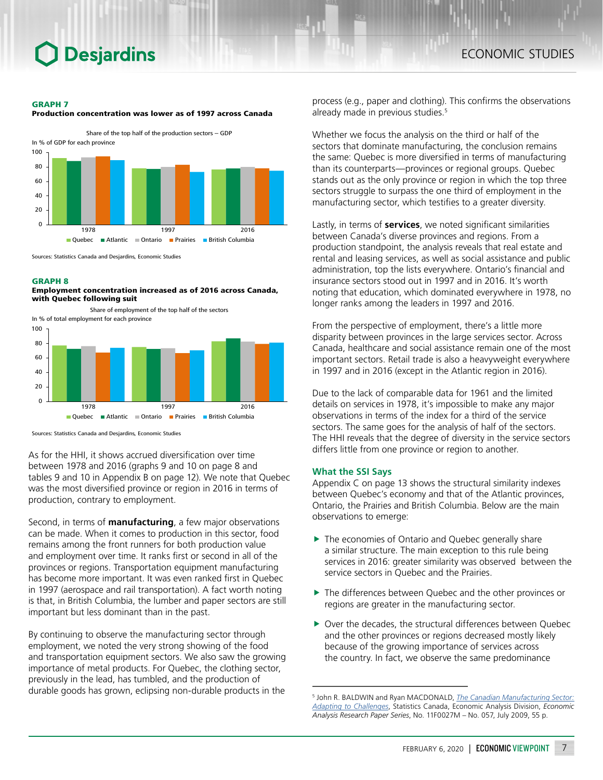#### GRAPH 7

Production concentration was lower as of 1997 across Canada



Sources: Statistics Canada and Desjardins, Economic Studies

#### GRAPH 8





Sources: Statistics Canada and Desjardins, Economic Studies

As for the HHI, it shows accrued diversification over time between 1978 and 2016 (graphs 9 and 10 on page 8 and tables 9 and 10 in Appendix B on page 12). We note that Quebec was the most diversified province or region in 2016 in terms of production, contrary to employment.

Second, in terms of **manufacturing**, a few major observations can be made. When it comes to production in this sector, food remains among the front runners for both production value and employment over time. It ranks first or second in all of the provinces or regions. Transportation equipment manufacturing has become more important. It was even ranked first in Quebec in 1997 (aerospace and rail transportation). A fact worth noting is that, in British Columbia, the lumber and paper sectors are still important but less dominant than in the past.

By continuing to observe the manufacturing sector through employment, we noted the very strong showing of the food and transportation equipment sectors. We also saw the growing importance of metal products. For Quebec, the clothing sector, previously in the lead, has tumbled, and the production of durable goods has grown, eclipsing non-durable products in the

process (e.g., paper and clothing). This confirms the observations already made in previous studies.<sup>5</sup>

Whether we focus the analysis on the third or half of the sectors that dominate manufacturing, the conclusion remains the same: Quebec is more diversified in terms of manufacturing than its counterparts—provinces or regional groups. Quebec stands out as the only province or region in which the top three sectors struggle to surpass the one third of employment in the manufacturing sector, which testifies to a greater diversity.

Lastly, in terms of **services**, we noted significant similarities between Canada's diverse provinces and regions. From a production standpoint, the analysis reveals that real estate and rental and leasing services, as well as social assistance and public administration, top the lists everywhere. Ontario's financial and insurance sectors stood out in 1997 and in 2016. It's worth noting that education, which dominated everywhere in 1978, no longer ranks among the leaders in 1997 and 2016.

From the perspective of employment, there's a little more disparity between provinces in the large services sector. Across Canada, healthcare and social assistance remain one of the most important sectors. Retail trade is also a heavyweight everywhere in 1997 and in 2016 (except in the Atlantic region in 2016).

Due to the lack of comparable data for 1961 and the limited details on services in 1978, it's impossible to make any major observations in terms of the index for a third of the service sectors. The same goes for the analysis of half of the sectors. The HHI reveals that the degree of diversity in the service sectors differs little from one province or region to another.

#### **What the SSI Says**

Appendix C on page 13 shows the structural similarity indexes between Quebec's economy and that of the Atlantic provinces, Ontario, the Prairies and British Columbia. Below are the main observations to emerge:

- $\blacktriangleright$  The economies of Ontario and Quebec generally share a similar structure. The main exception to this rule being services in 2016: greater similarity was observed between the service sectors in Quebec and the Prairies.
- $\blacktriangleright$  The differences between Ouebec and the other provinces or regions are greater in the manufacturing sector.
- $\triangleright$  Over the decades, the structural differences between Quebec and the other provinces or regions decreased mostly likely because of the growing importance of services across the country. In fact, we observe the same predominance

<sup>5</sup> John R. BALDWIN and Ryan MACDONALD, *[The Canadian Manufacturing Sector:](https://www150.statcan.gc.ca/n1/pub/11f0027m/11f0027m2009057-eng.pdf) [Adapting to Challenges](https://www150.statcan.gc.ca/n1/pub/11f0027m/11f0027m2009057-eng.pdf)*, Statistics Canada, Economic Analysis Division, *Economic Analysis Research Paper Series*, No. 11F0027M – No. 057, July 2009, 55 p.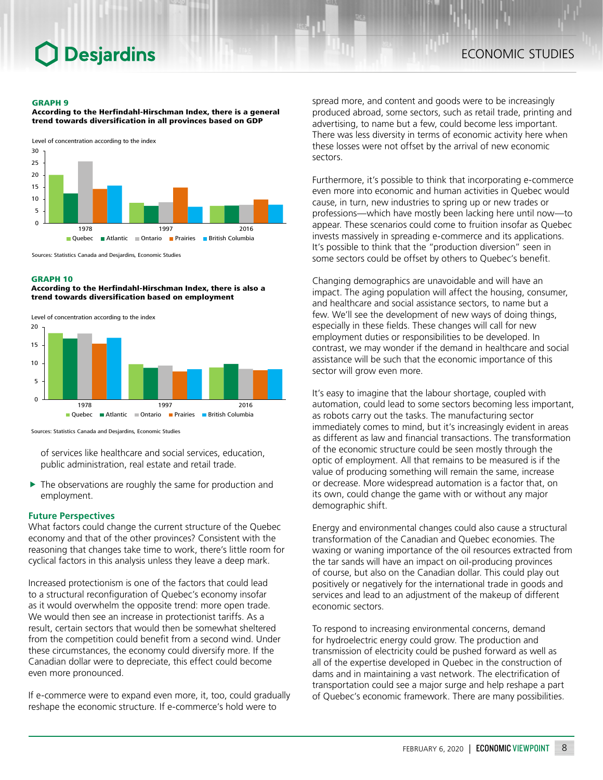#### GRAPH 9

According to the Herfindahl-Hirschman Index, there is a general trend towards diversification in all provinces based on GDP

Level of concentration according to the index



Sources: Statistics Canada and Desjardins, Economic Studies

#### GRAPH 10

According to the Herfindahl-Hirschman Index, there is also a trend towards diversification based on employment





Sources: Statistics Canada and Desjardins, Economic Studies

of services like healthcare and social services, education, public administration, real estate and retail trade.

 $\blacktriangleright$  The observations are roughly the same for production and employment.

#### **Future Perspectives**

What factors could change the current structure of the Quebec economy and that of the other provinces? Consistent with the reasoning that changes take time to work, there's little room for cyclical factors in this analysis unless they leave a deep mark.

Increased protectionism is one of the factors that could lead to a structural reconfiguration of Quebec's economy insofar as it would overwhelm the opposite trend: more open trade. We would then see an increase in protectionist tariffs. As a result, certain sectors that would then be somewhat sheltered from the competition could benefit from a second wind. Under these circumstances, the economy could diversify more. If the Canadian dollar were to depreciate, this effect could become even more pronounced.

If e-commerce were to expand even more, it, too, could gradually reshape the economic structure. If e-commerce's hold were to

spread more, and content and goods were to be increasingly produced abroad, some sectors, such as retail trade, printing and advertising, to name but a few, could become less important. There was less diversity in terms of economic activity here when these losses were not offset by the arrival of new economic sectors.

Furthermore, it's possible to think that incorporating e-commerce even more into economic and human activities in Quebec would cause, in turn, new industries to spring up or new trades or professions—which have mostly been lacking here until now—to appear. These scenarios could come to fruition insofar as Quebec invests massively in spreading e-commerce and its applications. It's possible to think that the "production diversion" seen in some sectors could be offset by others to Quebec's benefit.

Changing demographics are unavoidable and will have an impact. The aging population will affect the housing, consumer, and healthcare and social assistance sectors, to name but a few. We'll see the development of new ways of doing things, especially in these fields. These changes will call for new employment duties or responsibilities to be developed. In contrast, we may wonder if the demand in healthcare and social assistance will be such that the economic importance of this sector will grow even more.

It's easy to imagine that the labour shortage, coupled with automation, could lead to some sectors becoming less important, as robots carry out the tasks. The manufacturing sector immediately comes to mind, but it's increasingly evident in areas as different as law and financial transactions. The transformation of the economic structure could be seen mostly through the optic of employment. All that remains to be measured is if the value of producing something will remain the same, increase or decrease. More widespread automation is a factor that, on its own, could change the game with or without any major demographic shift.

Energy and environmental changes could also cause a structural transformation of the Canadian and Quebec economies. The waxing or waning importance of the oil resources extracted from the tar sands will have an impact on oil-producing provinces of course, but also on the Canadian dollar. This could play out positively or negatively for the international trade in goods and services and lead to an adjustment of the makeup of different economic sectors.

To respond to increasing environmental concerns, demand for hydroelectric energy could grow. The production and transmission of electricity could be pushed forward as well as all of the expertise developed in Quebec in the construction of dams and in maintaining a vast network. The electrification of transportation could see a major surge and help reshape a part of Quebec's economic framework. There are many possibilities.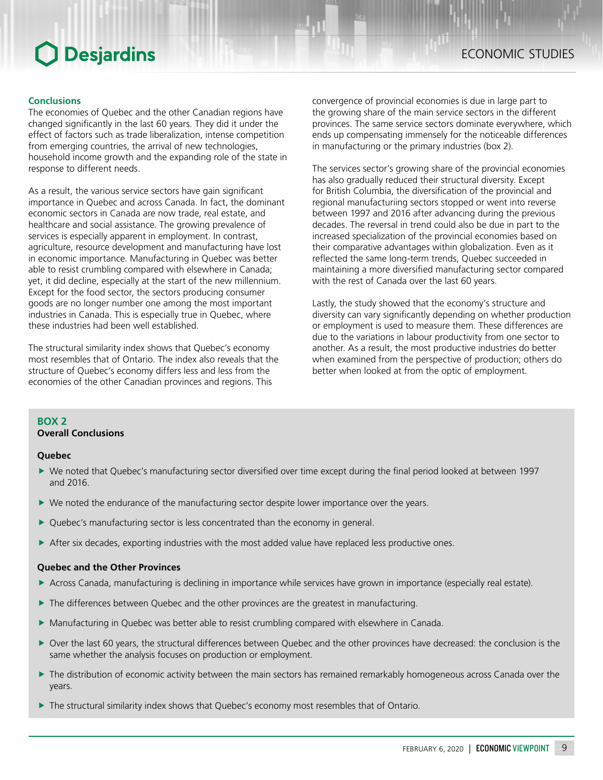### **Conclusions**

The economies of Quebec and the other Canadian regions have changed significantly in the last 60 years. They did it under the effect of factors such as trade liberalization, intense competition from emerging countries, the arrival of new technologies, household income growth and the expanding role of the state in response to different needs.

As a result, the various service sectors have gain significant importance in Quebec and across Canada. In fact, the dominant economic sectors in Canada are now trade, real estate, and healthcare and social assistance. The growing prevalence of services is especially apparent in employment. In contrast, agriculture, resource development and manufacturing have lost in economic importance. Manufacturing in Quebec was better able to resist crumbling compared with elsewhere in Canada; yet, it did decline, especially at the start of the new millennium. Except for the food sector, the sectors producing consumer goods are no longer number one among the most important industries in Canada. This is especially true in Quebec, where these industries had been well established.

The structural similarity index shows that Quebec's economy most resembles that of Ontario. The index also reveals that the structure of Quebec's economy differs less and less from the economies of the other Canadian provinces and regions. This

convergence of provincial economies is due in large part to the growing share of the main service sectors in the different provinces. The same service sectors dominate everywhere, which ends up compensating immensely for the noticeable differences in manufacturing or the primary industries (box 2).

The services sector's growing share of the provincial economies has also gradually reduced their structural diversity. Except for British Columbia, the diversification of the provincial and regional manufacturiing sectors stopped or went into reverse between 1997 and 2016 after advancing during the previous decades. The reversal in trend could also be due in part to the increased specialization of the provincial economies based on their comparative advantages within globalization. Even as it reflected the same long-term trends, Quebec succeeded in maintaining a more diversified manufacturing sector compared with the rest of Canada over the last 60 years.

Lastly, the study showed that the economy's structure and diversity can vary significantly depending on whether production or employment is used to measure them. These differences are due to the variations in labour productivity from one sector to another. As a result, the most productive industries do better when examined from the perspective of production; others do better when looked at from the optic of employment.

### **BOX 2**

## **Overall Conclusions**

#### **Quebec**

- ▶ We noted that Quebec's manufacturing sector diversified over time except during the final period looked at between 1997 and 2016.
- $\blacktriangleright$  We noted the endurance of the manufacturing sector despite lower importance over the years.
- $\blacktriangleright$  Quebec's manufacturing sector is less concentrated than the economy in general.
- $\triangleright$  After six decades, exporting industries with the most added value have replaced less productive ones.

### **Quebec and the Other Provinces**

- ▶ Across Canada, manufacturing is declining in importance while services have grown in importance (especially real estate).
- $\blacktriangleright$  The differences between Quebec and the other provinces are the greatest in manufacturing.
- **Manufacturing in Quebec was better able to resist crumbling compared with elsewhere in Canada.**
- ▶ Over the last 60 years, the structural differences between Quebec and the other provinces have decreased: the conclusion is the same whether the analysis focuses on production or employment.
- $\blacktriangleright$  The distribution of economic activity between the main sectors has remained remarkably homogeneous across Canada over the years.
- $\blacktriangleright$  The structural similarity index shows that Quebec's economy most resembles that of Ontario.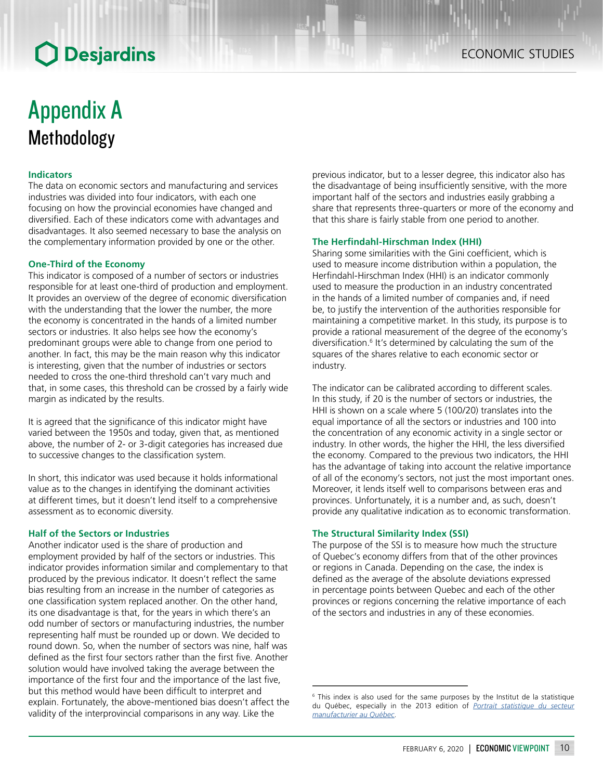## Appendix A Methodology

## **Indicators**

The data on economic sectors and manufacturing and services industries was divided into four indicators, with each one focusing on how the provincial economies have changed and diversified. Each of these indicators come with advantages and disadvantages. It also seemed necessary to base the analysis on the complementary information provided by one or the other.

### **One-Third of the Economy**

This indicator is composed of a number of sectors or industries responsible for at least one-third of production and employment. It provides an overview of the degree of economic diversification with the understanding that the lower the number, the more the economy is concentrated in the hands of a limited number sectors or industries. It also helps see how the economy's predominant groups were able to change from one period to another. In fact, this may be the main reason why this indicator is interesting, given that the number of industries or sectors needed to cross the one-third threshold can't vary much and that, in some cases, this threshold can be crossed by a fairly wide margin as indicated by the results.

It is agreed that the significance of this indicator might have varied between the 1950s and today, given that, as mentioned above, the number of 2- or 3-digit categories has increased due to successive changes to the classification system.

In short, this indicator was used because it holds informational value as to the changes in identifying the dominant activities at different times, but it doesn't lend itself to a comprehensive assessment as to economic diversity.

## **Half of the Sectors or Industries**

Another indicator used is the share of production and employment provided by half of the sectors or industries. This indicator provides information similar and complementary to that produced by the previous indicator. It doesn't reflect the same bias resulting from an increase in the number of categories as one classification system replaced another. On the other hand, its one disadvantage is that, for the years in which there's an odd number of sectors or manufacturing industries, the number representing half must be rounded up or down. We decided to round down. So, when the number of sectors was nine, half was defined as the first four sectors rather than the first five. Another solution would have involved taking the average between the importance of the first four and the importance of the last five, but this method would have been difficult to interpret and explain. Fortunately, the above-mentioned bias doesn't affect the validity of the interprovincial comparisons in any way. Like the

previous indicator, but to a lesser degree, this indicator also has the disadvantage of being insufficiently sensitive, with the more important half of the sectors and industries easily grabbing a share that represents three-quarters or more of the economy and that this share is fairly stable from one period to another.

#### **The Herfindahl-Hirschman Index (HHI)**

Sharing some similarities with the Gini coefficient, which is used to measure income distribution within a population, the Herfindahl-Hirschman Index (HHI) is an indicator commonly used to measure the production in an industry concentrated in the hands of a limited number of companies and, if need be, to justify the intervention of the authorities responsible for maintaining a competitive market. In this study, its purpose is to provide a rational measurement of the degree of the economy's diversification.<sup>6</sup> It's determined by calculating the sum of the squares of the shares relative to each economic sector or industry.

The indicator can be calibrated according to different scales. In this study, if 20 is the number of sectors or industries, the HHI is shown on a scale where 5 (100/20) translates into the equal importance of all the sectors or industries and 100 into the concentration of any economic activity in a single sector or industry. In other words, the higher the HHI, the less diversified the economy. Compared to the previous two indicators, the HHI has the advantage of taking into account the relative importance of all of the economy's sectors, not just the most important ones. Moreover, it lends itself well to comparisons between eras and provinces. Unfortunately, it is a number and, as such, doesn't provide any qualitative indication as to economic transformation.

### **The Structural Similarity Index (SSI)**

The purpose of the SSI is to measure how much the structure of Quebec's economy differs from that of the other provinces or regions in Canada. Depending on the case, the index is defined as the average of the absolute deviations expressed in percentage points between Quebec and each of the other provinces or regions concerning the relative importance of each of the sectors and industries in any of these economies.

<sup>6</sup> This index is also used for the same purposes by the Institut de la statistique du Québec, especially in the 2013 edition of *[Portrait statistique du secteur](http://www.stat.gouv.qc.ca/statistiques/secteur-manufacturier/manuf-portrait.pdf) [manufacturier au Québec](http://www.stat.gouv.qc.ca/statistiques/secteur-manufacturier/manuf-portrait.pdf)*.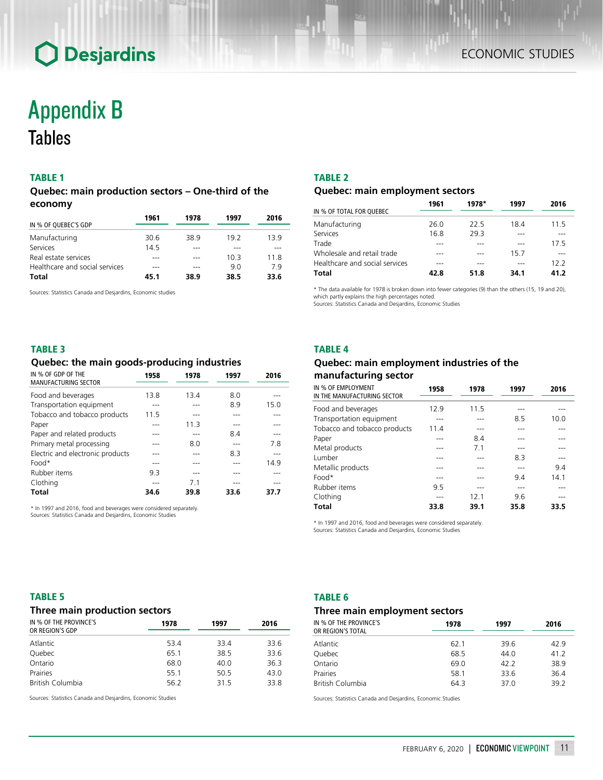## TABLE 1

## *Quebec: main production sectors – One-third of the economy*

|                                | 1961 | 1978 | 1997 | 2016 |  |
|--------------------------------|------|------|------|------|--|
| IN % OF QUEBEC'S GDP           |      |      |      |      |  |
| Manufacturing                  | 30.6 | 38.9 | 19.2 | 139  |  |
| Services                       | 145  |      |      |      |  |
| Real estate services           |      |      | 103  | 11 8 |  |
| Healthcare and social services |      |      | 9.0  | 79   |  |
| <b>Total</b>                   | 45.1 | 38.9 | 38.5 | 33.6 |  |

Sources: Statistics Canada and Desjardins, Economic studies

#### TABLE 2

### *Quebec: main employment sectors*

|                                | 1961 | 1978* | 1997 | 2016 |
|--------------------------------|------|-------|------|------|
| IN % OF TOTAL FOR QUEBEC       |      |       |      |      |
| Manufacturing                  | 26.0 | 22.5  | 18.4 | 11.5 |
| Services                       | 16.8 | 29.3  |      |      |
| Trade                          |      |       |      | 17.5 |
| Wholesale and retail trade     |      |       | 157  |      |
| Healthcare and social services |      |       |      | 12.2 |
| Total                          | 42.8 | 51.8  | 34.1 | 41.2 |
|                                |      |       |      |      |

\* The data available for 1978 is broken down into fewer categories (9) than the others (15, 19 and 20), which partly explains the high percentages noted.

Sources: Statistics Canada and Desjardins, Economic Studies

### TABLE 3

## *Quebec: the main goods-producing industries*

| IN % OF GDP OF THE<br><b>MANUFACTURING SECTOR</b> | 1958 | 1978 | 1997 | 2016 |
|---------------------------------------------------|------|------|------|------|
|                                                   |      |      |      |      |
| Food and beverages                                | 13.8 | 13.4 | 8.0  |      |
| Transportation equipment                          |      |      | 8.9  | 15.0 |
| Tobacco and tobacco products                      | 115  |      |      |      |
| Paper                                             |      | 11.3 |      |      |
| Paper and related products                        |      |      | 84   |      |
| Primary metal processing                          |      | 8.0  |      | 7.8  |
| Electric and electronic products                  |      |      | 8.3  |      |
| $Food*$                                           |      |      |      | 14.9 |
| Rubber items                                      | 93   |      |      |      |
| Clothing                                          |      | 71   |      |      |
| <b>Total</b>                                      | 34.6 | 39.8 | 33.6 | 37.7 |

\* In 1997 and 2016, food and beverages were considered separately. Sources: Statistics Canada and Desjardins, Economic Studies

## TABLE 4

## *Quebec: main employment industries of the manufacturing sector*

| IN % OF EMPLOYMENT<br>IN THE MANUFACTURING SECTOR | 1958 | 1978 | 1997 | 2016 |
|---------------------------------------------------|------|------|------|------|
| Food and beverages                                | 12.9 | 11.5 |      |      |
| Transportation equipment                          |      |      | 8.5  | 10.0 |
| Tobacco and tobacco products                      | 11.4 |      |      |      |
| Paper                                             |      | 8.4  |      |      |
| Metal products                                    |      | 71   |      |      |
| Lumber                                            |      |      | 8.3  |      |
| Metallic products                                 |      |      |      | 9.4  |
| $Food*$                                           |      |      | 9.4  | 14.1 |
| Rubber items                                      | 9.5  |      |      |      |
| Clothing                                          |      | 12.1 | 9.6  |      |
| <b>Total</b>                                      | 33.8 | 39.1 | 35.8 | 33.5 |

\* In 1997 and 2016, food and beverages were considered separately. Sources: Statistics Canada and Desjardins, Economic Studies

### TABLE 5

### *Three main production sectors*

| IN % OF THE PROVINCE'S<br>OR REGION'S GDP | 1978 | 1997 | 2016 |  |  |
|-------------------------------------------|------|------|------|--|--|
| Atlantic                                  | 53.4 | 33.4 | 33.6 |  |  |
| Quebec                                    | 65.1 | 38.5 | 33.6 |  |  |
| Ontario                                   | 68.0 | 40.0 | 36.3 |  |  |
| Prairies                                  | 55.1 | 50.5 | 43.0 |  |  |
| <b>British Columbia</b>                   | 56.2 | 315  | 33.8 |  |  |

Sources: Statistics Canada and Desjardins, Economic Studies

#### TABLE 6

## *Three main employment sectors*

| IN % OF THE PROVINCE'S<br>OR REGION'S TOTAL | 1978 | 1997 | 2016 |
|---------------------------------------------|------|------|------|
| Atlantic                                    | 62.1 | 39.6 | 42.9 |
| Quebec                                      | 68.5 | 44.0 | 41.2 |
| Ontario                                     | 69.0 | 42.2 | 38.9 |
| Prairies                                    | 58.1 | 33.6 | 36.4 |
| British Columbia                            | 64.3 | 37.0 | 39.2 |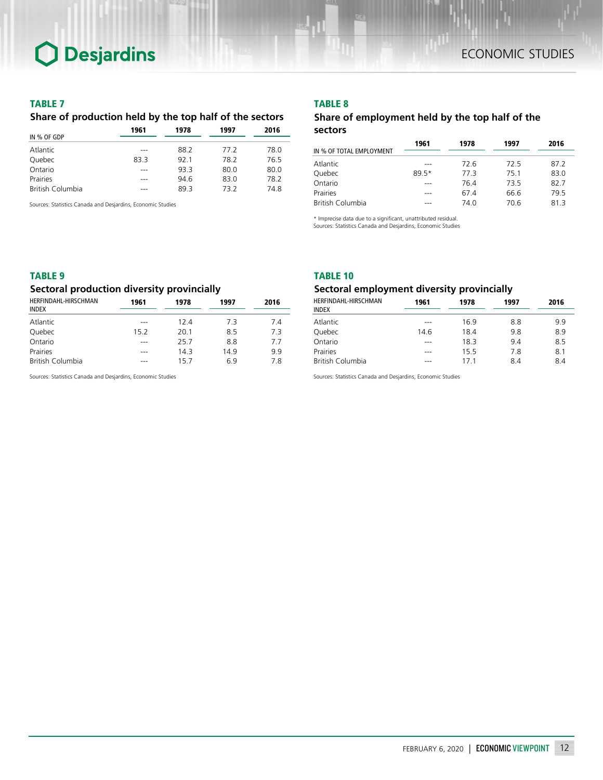### TABLE 7

## *Share of production held by the top half of the sectors*

|                  | 1961 | 1978 | 1997 | 2016 |  |
|------------------|------|------|------|------|--|
| IN % OF GDP      |      |      |      |      |  |
| Atlantic         |      | 88.2 | 77.2 | 78.0 |  |
| Quebec           | 83.3 | 921  | 78.2 | 76.5 |  |
| Ontario          |      | 933  | 80.0 | 80.0 |  |
| Prairies         |      | 94.6 | 83.0 | 78.2 |  |
| British Columbia |      | 893  | 732  | 74.8 |  |

Sources: Statistics Canada and Desjardins, Economic Studies

## TABLE 8

## *Share of employment held by the top half of the sectors*

|                          | 1961  | 1978 | 1997 | 2016 |
|--------------------------|-------|------|------|------|
| IN % OF TOTAL EMPLOYMENT |       |      |      |      |
| Atlantic                 |       | 72.6 | 72.5 | 87.2 |
| Quebec                   | 89.5* | 773  | 75.1 | 83.0 |
| Ontario                  | ---   | 76.4 | 735  | 82.7 |
| Prairies                 |       | 67.4 | 66.6 | 79.5 |
| <b>British Columbia</b>  | ---   | 74.0 | 70.6 | 813  |

\* Imprecise data due to a significant, unattributed residual.

Sources: Statistics Canada and Desjardins, Economic Studies

## TABLE 9

## *Sectoral production diversity provincially*

| HERFINDAHL-HIRSCHMAN<br><b>INDEX</b> | 1961    | 1978 | 1997 | 2016 |
|--------------------------------------|---------|------|------|------|
| Atlantic                             | ---     | 124  | 7.3  | 74   |
| Quebec                               | 15.2    | 20.1 | 8.5  | 73   |
| Ontario                              | $- - -$ | 25.7 | 8.8  | 7.7  |
| Prairies                             | ---     | 14.3 | 149  | 9.9  |
| <b>British Columbia</b>              | ---     | 15.7 | 6.9  | 78   |

Sources: Statistics Canada and Desjardins, Economic Studies

#### TABLE 10

## *Sectoral employment diversity provincially*

| 1961 | 1978            | 1997 | 2016 |  |  |
|------|-----------------|------|------|--|--|
| ---  |                 |      | 9.9  |  |  |
| 14.6 | 18.4            | 9.8  | 8.9  |  |  |
|      | 18.3            | 9.4  | 8.5  |  |  |
|      | 155             | 7.8  | 8.1  |  |  |
|      | 17 <sub>1</sub> | 84   | 8.4  |  |  |
|      |                 | 16.9 | 8.8  |  |  |